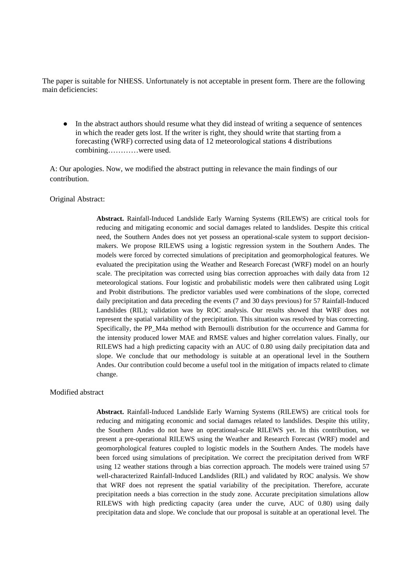The paper is suitable for NHESS. Unfortunately is not acceptable in present form. There are the following main deficiencies:

● In the abstract authors should resume what they did instead of writing a sequence of sentences in which the reader gets lost. If the writer is right, they should write that starting from a forecasting (WRF) corrected using data of 12 meteorological stations 4 distributions combining…………were used.

A: Our apologies. Now, we modified the abstract putting in relevance the main findings of our contribution.

#### Original Abstract:

**Abstract.** Rainfall-Induced Landslide Early Warning Systems (RILEWS) are critical tools for reducing and mitigating economic and social damages related to landslides. Despite this critical need, the Southern Andes does not yet possess an operational-scale system to support decisionmakers. We propose RILEWS using a logistic regression system in the Southern Andes. The models were forced by corrected simulations of precipitation and geomorphological features. We evaluated the precipitation using the Weather and Research Forecast (WRF) model on an hourly scale. The precipitation was corrected using bias correction approaches with daily data from 12 meteorological stations. Four logistic and probabilistic models were then calibrated using Logit and Probit distributions. The predictor variables used were combinations of the slope, corrected daily precipitation and data preceding the events (7 and 30 days previous) for 57 Rainfall-Induced Landslides (RIL); validation was by ROC analysis. Our results showed that WRF does not represent the spatial variability of the precipitation. This situation was resolved by bias correcting. Specifically, the PP\_M4a method with Bernoulli distribution for the occurrence and Gamma for the intensity produced lower MAE and RMSE values and higher correlation values. Finally, our RILEWS had a high predicting capacity with an AUC of 0.80 using daily precipitation data and slope. We conclude that our methodology is suitable at an operational level in the Southern Andes. Our contribution could become a useful tool in the mitigation of impacts related to climate change.

#### Modified abstract

**Abstract.** Rainfall-Induced Landslide Early Warning Systems (RILEWS) are critical tools for reducing and mitigating economic and social damages related to landslides. Despite this utility, the Southern Andes do not have an operational-scale RILEWS yet. In this contribution, we present a pre-operational RILEWS using the Weather and Research Forecast (WRF) model and geomorphological features coupled to logistic models in the Southern Andes. The models have been forced using simulations of precipitation. We correct the precipitation derived from WRF using 12 weather stations through a bias correction approach. The models were trained using 57 well-characterized Rainfall-Induced Landslides (RIL) and validated by ROC analysis. We show that WRF does not represent the spatial variability of the precipitation. Therefore, accurate precipitation needs a bias correction in the study zone. Accurate precipitation simulations allow RILEWS with high predicting capacity (area under the curve, AUC of 0.80) using daily precipitation data and slope. We conclude that our proposal is suitable at an operational level. The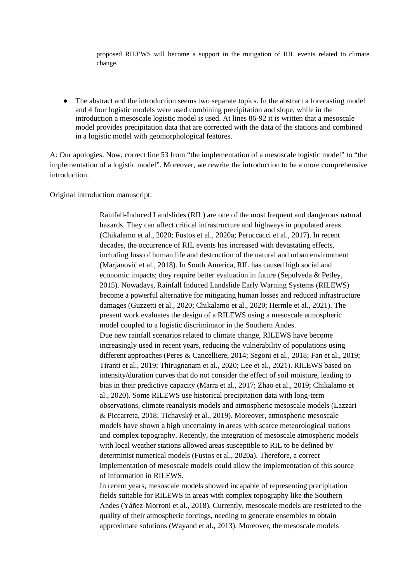proposed RILEWS will become a support in the mitigation of RIL events related to climate change.

The abstract and the introduction seems two separate topics. In the abstract a forecasting model and 4 four logistic models were used combining precipitation and slope, while in the introduction a mesoscale logistic model is used. At lines 86-92 it is written that a mesoscale model provides precipitation data that are corrected with the data of the stations and combined in a logistic model with geomorphological features.

A: Our apologies. Now, correct line 53 from "the implementation of a mesoscale logistic model" to "the implementation of a logistic model". Moreover, we rewrite the introduction to be a more comprehensive introduction.

Original introduction manuscript:

Rainfall-Induced Landslides (RIL) are one of the most frequent and dangerous natural hazards. They can affect critical infrastructure and highways in populated areas (Chikalamo et al., 2020; Fustos et al., 2020a; Peruccacci et al., 2017). In recent decades, the occurrence of RIL events has increased with devastating effects, including loss of human life and destruction of the natural and urban environment (Marjanović et al., 2018). In South America, RIL has caused high social and economic impacts; they require better evaluation in future (Sepulveda & Petley, 2015). Nowadays, Rainfall Induced Landslide Early Warning Systems (RILEWS) become a powerful alternative for mitigating human losses and reduced infrastructure damages (Guzzetti et al., 2020; Chikalamo et al., 2020; Hermle et al., 2021). The present work evaluates the design of a RILEWS using a mesoscale atmospheric model coupled to a logistic discriminator in the Southern Andes. Due new rainfall scenarios related to climate change, RILEWS have become increasingly used in recent years, reducing the vulnerability of populations using different approaches (Peres & Cancelliere, 2014; Segoni et al., 2018; Fan et al., 2019; Tiranti et al., 2019; Thirugnanam et al., 2020; Lee et al., 2021). RILEWS based on intensity/duration curves that do not consider the effect of soil moisture, leading to bias in their predictive capacity (Marra et al., 2017; Zhao et al., 2019; Chikalamo et al., 2020). Some RILEWS use historical precipitation data with long-term observations, climate reanalysis models and atmospheric mesoscale models (Lazzari & Piccarreta, 2018; Tichavský et al., 2019). Moreover, atmospheric mesoscale models have shown a high uncertainty in areas with scarce meteorological stations and complex topography. Recently, the integration of mesoscale atmospheric models with local weather stations allowed areas susceptible to RIL to be defined by determinist numerical models (Fustos et al., 2020a). Therefore, a correct implementation of mesoscale models could allow the implementation of this source of information in RILEWS.

In recent years, mesoscale models showed incapable of representing precipitation fields suitable for RILEWS in areas with complex topography like the Southern Andes (Yáñez-Morroni et al., 2018). Currently, mesoscale models are restricted to the quality of their atmospheric forcings, needing to generate ensembles to obtain approximate solutions (Wayand et al., 2013). Moreover, the mesoscale models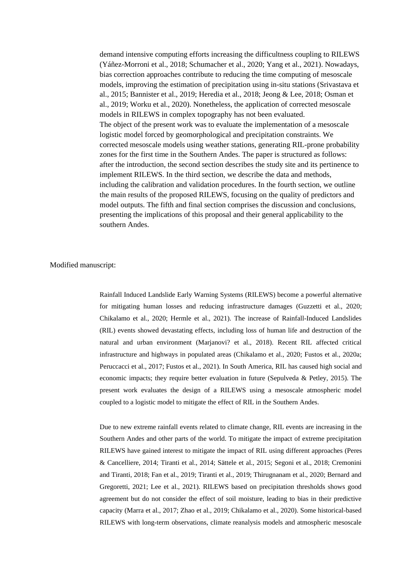demand intensive computing efforts increasing the difficultness coupling to RILEWS (Yáñez-Morroni et al., 2018; Schumacher et al., 2020; Yang et al., 2021). Nowadays, bias correction approaches contribute to reducing the time computing of mesoscale models, improving the estimation of precipitation using in-situ stations (Srivastava et al., 2015; Bannister et al., 2019; Heredia et al., 2018; Jeong & Lee, 2018; Osman et al., 2019; Worku et al., 2020). Nonetheless, the application of corrected mesoscale models in RILEWS in complex topography has not been evaluated. The object of the present work was to evaluate the implementation of a mesoscale logistic model forced by geomorphological and precipitation constraints. We corrected mesoscale models using weather stations, generating RIL-prone probability zones for the first time in the Southern Andes. The paper is structured as follows: after the introduction, the second section describes the study site and its pertinence to implement RILEWS. In the third section, we describe the data and methods, including the calibration and validation procedures. In the fourth section, we outline the main results of the proposed RILEWS, focusing on the quality of predictors and model outputs. The fifth and final section comprises the discussion and conclusions, presenting the implications of this proposal and their general applicability to the southern Andes.

### Modified manuscript:

Rainfall Induced Landslide Early Warning Systems (RILEWS) become a powerful alternative for mitigating human losses and reducing infrastructure damages (Guzzetti et al., 2020; Chikalamo et al., 2020; Hermle et al., 2021). The increase of Rainfall-Induced Landslides (RIL) events showed devastating effects, including loss of human life and destruction of the natural and urban environment (Marjanovi? et al., 2018). Recent RIL affected critical infrastructure and highways in populated areas (Chikalamo et al., 2020; Fustos et al., 2020a; Peruccacci et al., 2017; Fustos et al., 2021). In South America, RIL has caused high social and economic impacts; they require better evaluation in future (Sepulveda & Petley, 2015). The present work evaluates the design of a RILEWS using a mesoscale atmospheric model coupled to a logistic model to mitigate the effect of RIL in the Southern Andes.

Due to new extreme rainfall events related to climate change, RIL events are increasing in the Southern Andes and other parts of the world. To mitigate the impact of extreme precipitation RILEWS have gained interest to mitigate the impact of RIL using different approaches (Peres & Cancelliere, 2014; Tiranti et al., 2014; Sättele et al., 2015; Segoni et al., 2018; Cremonini and Tiranti, 2018; Fan et al., 2019; Tiranti et al., 2019; Thirugnanam et al., 2020; Bernard and Gregoretti, 2021; Lee et al., 2021). RILEWS based on precipitation thresholds shows good agreement but do not consider the effect of soil moisture, leading to bias in their predictive capacity (Marra et al., 2017; Zhao et al., 2019; Chikalamo et al., 2020). Some historical-based RILEWS with long-term observations, climate reanalysis models and atmospheric mesoscale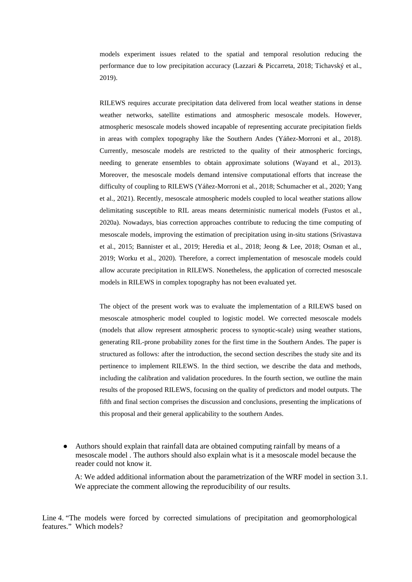models experiment issues related to the spatial and temporal resolution reducing the performance due to low precipitation accuracy (Lazzari & Piccarreta, 2018; Tichavský et al., 2019).

RILEWS requires accurate precipitation data delivered from local weather stations in dense weather networks, satellite estimations and atmospheric mesoscale models. However, atmospheric mesoscale models showed incapable of representing accurate precipitation fields in areas with complex topography like the Southern Andes (Yáñez-Morroni et al., 2018). Currently, mesoscale models are restricted to the quality of their atmospheric forcings, needing to generate ensembles to obtain approximate solutions (Wayand et al., 2013). Moreover, the mesoscale models demand intensive computational efforts that increase the difficulty of coupling to RILEWS (Yáñez-Morroni et al., 2018; Schumacher et al., 2020; Yang et al., 2021). Recently, mesoscale atmospheric models coupled to local weather stations allow delimitating susceptible to RIL areas means deterministic numerical models (Fustos et al., 2020a). Nowadays, bias correction approaches contribute to reducing the time computing of mesoscale models, improving the estimation of precipitation using in-situ stations (Srivastava et al., 2015; Bannister et al., 2019; Heredia et al., 2018; Jeong & Lee, 2018; Osman et al., 2019; Worku et al., 2020). Therefore, a correct implementation of mesoscale models could allow accurate precipitation in RILEWS. Nonetheless, the application of corrected mesoscale models in RILEWS in complex topography has not been evaluated yet.

The object of the present work was to evaluate the implementation of a RILEWS based on mesoscale atmospheric model coupled to logistic model. We corrected mesoscale models (models that allow represent atmospheric process to synoptic-scale) using weather stations, generating RIL-prone probability zones for the first time in the Southern Andes. The paper is structured as follows: after the introduction, the second section describes the study site and its pertinence to implement RILEWS. In the third section, we describe the data and methods, including the calibration and validation procedures. In the fourth section, we outline the main results of the proposed RILEWS, focusing on the quality of predictors and model outputs. The fifth and final section comprises the discussion and conclusions, presenting the implications of this proposal and their general applicability to the southern Andes.

● Authors should explain that rainfall data are obtained computing rainfall by means of a mesoscale model . The authors should also explain what is it a mesoscale model because the reader could not know it.

A: We added additional information about the parametrization of the WRF model in section 3.1. We appreciate the comment allowing the reproducibility of our results.

Line 4. "The models were forced by corrected simulations of precipitation and geomorphological features." Which models?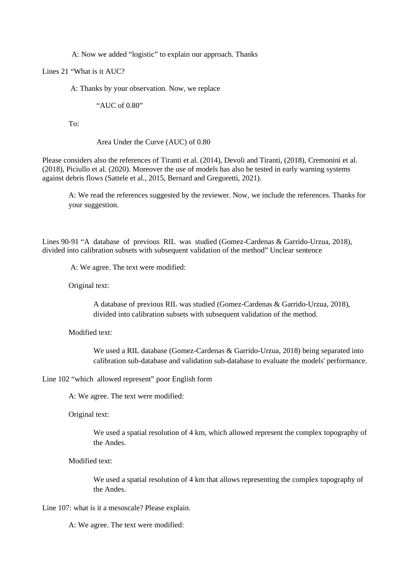A: Now we added "logistic" to explain our approach. Thanks

Lines 21 "What is it AUC?

A: Thanks by your observation. Now, we replace

"AUC of 0.80"

To:

Area Under the Curve (AUC) of 0.80

Please considers also the references of Tiranti et al. (2014), Devoli and Tiranti, (2018), Cremonini et al. (2018), Piciullo et al. (2020). Moreover the use of models has also be tested in early warning systems against debris flows (Sattele et al., 2015, Bernard and Gregoretti, 2021).

A: We read the references suggested by the reviewer. Now, we include the references. Thanks for your suggestion.

Lines 90-91 "A database of previous RIL was studied (Gomez-Cardenas & Garrido-Urzua, 2018), divided into calibration subsets with subsequent validation of the method" Unclear sentence

A: We agree. The text were modified:

Original text:

A database of previous RIL was studied (Gomez-Cardenas & Garrido-Urzua, 2018), divided into calibration subsets with subsequent validation of the method.

Modified text:

We used a RIL database (Gomez-Cardenas & Garrido-Urzua, 2018) being separated into calibration sub-database and validation sub-database to evaluate the models' performance.

Line 102 "which allowed represent" poor English form

A: We agree. The text were modified:

Original text:

We used a spatial resolution of 4 km, which allowed represent the complex topography of the Andes.

Modified text:

We used a spatial resolution of 4 km that allows representing the complex topography of the Andes.

Line 107: what is it a mesoscale? Please explain.

A: We agree. The text were modified: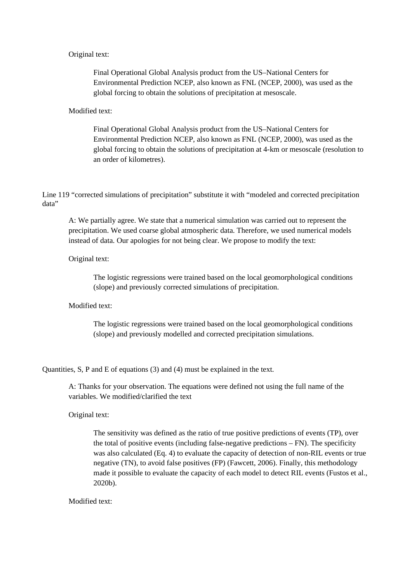### Original text:

Final Operational Global Analysis product from the US–National Centers for Environmental Prediction NCEP, also known as FNL (NCEP, 2000), was used as the global forcing to obtain the solutions of precipitation at mesoscale.

# Modified text:

Final Operational Global Analysis product from the US–National Centers for Environmental Prediction NCEP, also known as FNL (NCEP, 2000), was used as the global forcing to obtain the solutions of precipitation at 4-km or mesoscale (resolution to an order of kilometres).

Line 119 "corrected simulations of precipitation" substitute it with "modeled and corrected precipitation data"

A: We partially agree. We state that a numerical simulation was carried out to represent the precipitation. We used coarse global atmospheric data. Therefore, we used numerical models instead of data. Our apologies for not being clear. We propose to modify the text:

### Original text:

The logistic regressions were trained based on the local geomorphological conditions (slope) and previously corrected simulations of precipitation.

Modified text:

The logistic regressions were trained based on the local geomorphological conditions (slope) and previously modelled and corrected precipitation simulations.

Quantities, S, P and E of equations (3) and (4) must be explained in the text.

A: Thanks for your observation. The equations were defined not using the full name of the variables. We modified/clarified the text

Original text:

The sensitivity was defined as the ratio of true positive predictions of events (TP), over the total of positive events (including false-negative predictions – FN). The specificity was also calculated (Eq. 4) to evaluate the capacity of detection of non-RIL events or true negative (TN), to avoid false positives (FP) (Fawcett, 2006). Finally, this methodology made it possible to evaluate the capacity of each model to detect RIL events (Fustos et al., 2020b).

Modified text: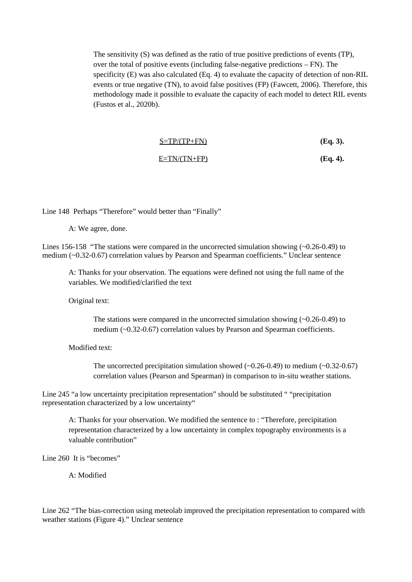The sensitivity (S) was defined as the ratio of true positive predictions of events (TP), over the total of positive events (including false-negative predictions – FN). The specificity (E) was also calculated (Eq. 4) to evaluate the capacity of detection of non-RIL events or true negative (TN), to avoid false positives (FP) (Fawcett, 2006). Therefore, this methodology made it possible to evaluate the capacity of each model to detect RIL events (Fustos et al., 2020b).

| $S=TP/(TP+FN)$ | $(Eq. 3)$ . |
|----------------|-------------|
| $E=TN/(TN+FP)$ | $(Eq. 4)$ . |

Line 148 Perhaps "Therefore" would better than "Finally"

A: We agree, done.

Lines 156-158 "The stations were compared in the uncorrected simulation showing (~0.26-0.49) to medium (~0.32-0.67) correlation values by Pearson and Spearman coefficients." Unclear sentence

A: Thanks for your observation. The equations were defined not using the full name of the variables. We modified/clarified the text

Original text:

The stations were compared in the uncorrected simulation showing  $(\sim 0.26 - 0.49)$  to medium (~0.32-0.67) correlation values by Pearson and Spearman coefficients.

Modified text:

The uncorrected precipitation simulation showed ( $\sim$ 0.26-0.49) to medium ( $\sim$ 0.32-0.67) correlation values (Pearson and Spearman) in comparison to in-situ weather stations.

Line 245 "a low uncertainty precipitation representation" should be substituted " "precipitation representation characterized by a low uncertainty"

A: Thanks for your observation. We modified the sentence to : "Therefore, precipitation representation characterized by a low uncertainty in complex topography environments is a valuable contribution"

Line 260 It is "becomes"

A: Modified

Line 262 "The bias-correction using meteolab improved the precipitation representation to compared with weather stations (Figure 4)." Unclear sentence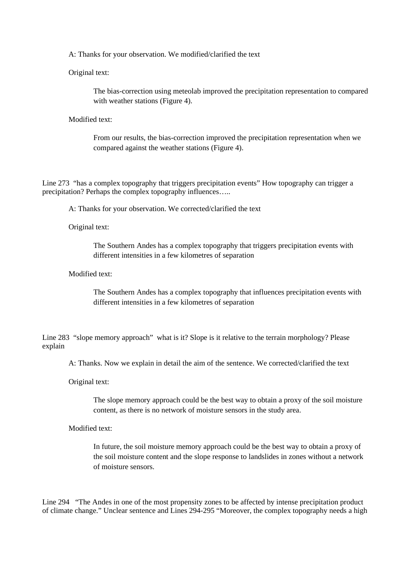A: Thanks for your observation. We modified/clarified the text

Original text:

The bias-correction using meteolab improved the precipitation representation to compared with weather stations (Figure 4).

Modified text:

From our results, the bias-correction improved the precipitation representation when we compared against the weather stations (Figure 4).

Line 273 "has a complex topography that triggers precipitation events" How topography can trigger a precipitation? Perhaps the complex topography influences…..

A: Thanks for your observation. We corrected/clarified the text

Original text:

The Southern Andes has a complex topography that triggers precipitation events with different intensities in a few kilometres of separation

Modified text:

The Southern Andes has a complex topography that influences precipitation events with different intensities in a few kilometres of separation

Line 283 "slope memory approach" what is it? Slope is it relative to the terrain morphology? Please explain

A: Thanks. Now we explain in detail the aim of the sentence. We corrected/clarified the text

Original text:

The slope memory approach could be the best way to obtain a proxy of the soil moisture content, as there is no network of moisture sensors in the study area.

Modified text:

In future, the soil moisture memory approach could be the best way to obtain a proxy of the soil moisture content and the slope response to landslides in zones without a network of moisture sensors.

Line 294 "The Andes in one of the most propensity zones to be affected by intense precipitation product of climate change." Unclear sentence and Lines 294-295 "Moreover, the complex topography needs a high